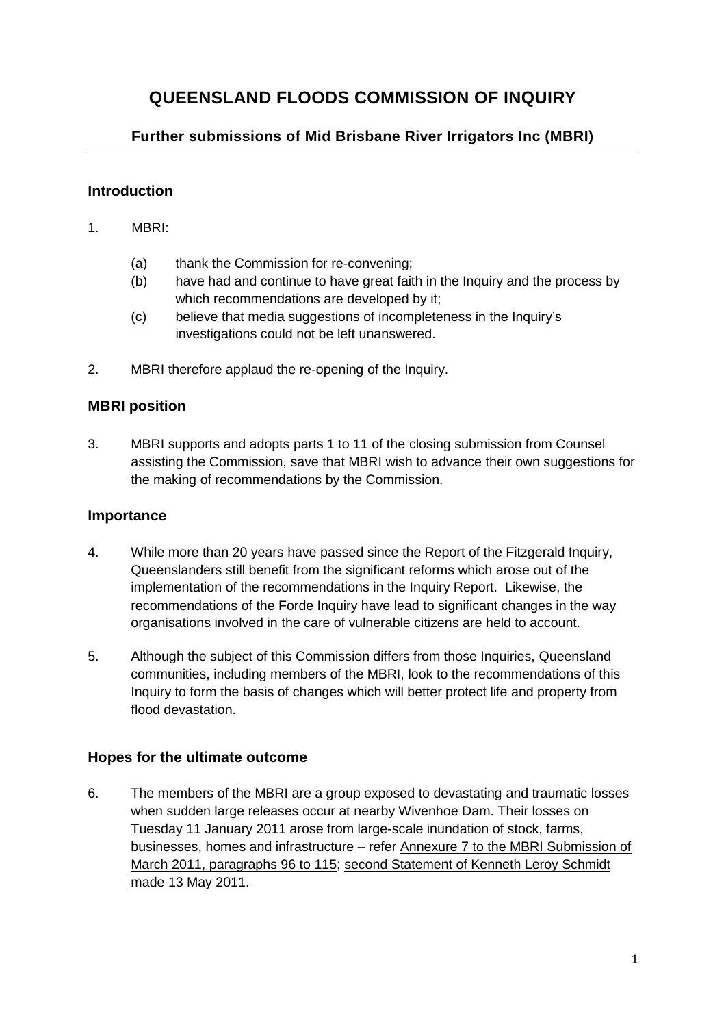# **QUEENSLAND FLOODS COMMISSION OF INQUIRY**

## **Further submissions of Mid Brisbane River Irrigators Inc (MBRI)**

#### **Introduction**

- 1. MBRI:
	- (a) thank the Commission for re-convening;
	- (b) have had and continue to have great faith in the Inquiry and the process by which recommendations are developed by it;
	- (c) believe that media suggestions of incompleteness in the Inquiry's investigations could not be left unanswered.
- 2. MBRI therefore applaud the re-opening of the Inquiry.

## **MBRI position**

3. MBRI supports and adopts parts 1 to 11 of the closing submission from Counsel assisting the Commission, save that MBRI wish to advance their own suggestions for the making of recommendations by the Commission.

#### **Importance**

- 4. While more than 20 years have passed since the Report of the Fitzgerald Inquiry, Queenslanders still benefit from the significant reforms which arose out of the implementation of the recommendations in the Inquiry Report. Likewise, the recommendations of the Forde Inquiry have lead to significant changes in the way organisations involved in the care of vulnerable citizens are held to account.
- 5. Although the subject of this Commission differs from those Inquiries, Queensland communities, including members of the MBRI, look to the recommendations of this Inquiry to form the basis of changes which will better protect life and property from flood devastation.

#### **Hopes for the ultimate outcome**

6. The members of the MBRI are a group exposed to devastating and traumatic losses when sudden large releases occur at nearby Wivenhoe Dam. Their losses on Tuesday 11 January 2011 arose from large-scale inundation of stock, farms, businesses, homes and infrastructure – refer Annexure 7 to the MBRI Submission of March 2011, paragraphs 96 to 115; second Statement of Kenneth Leroy Schmidt made 13 May 2011.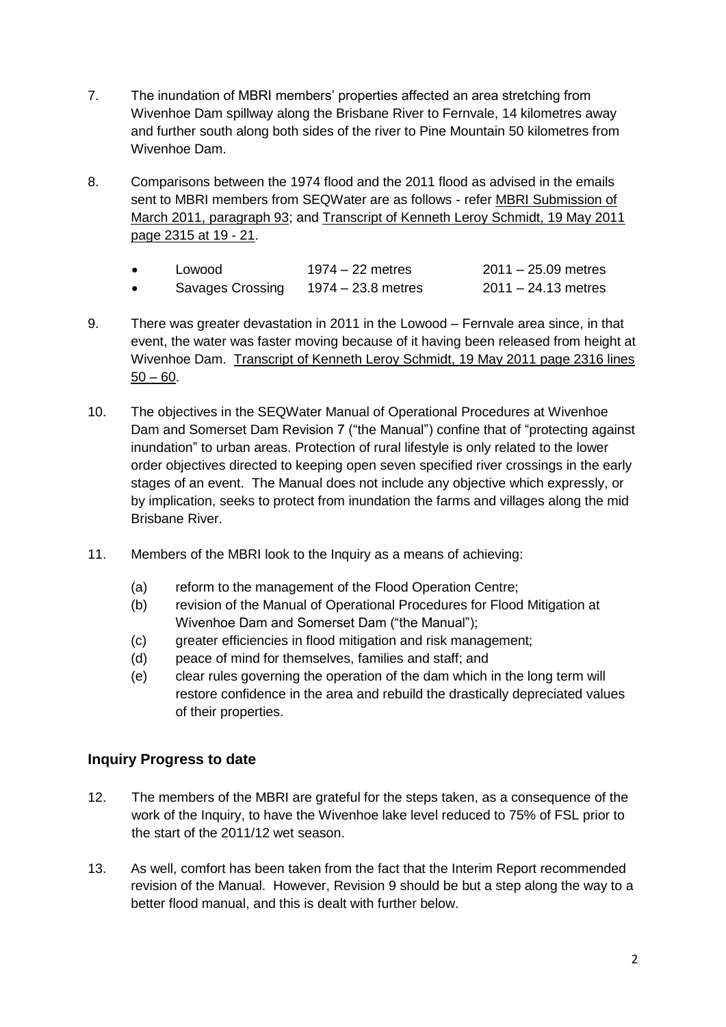- 7. The inundation of MBRI members' properties affected an area stretching from Wivenhoe Dam spillway along the Brisbane River to Fernvale, 14 kilometres away and further south along both sides of the river to Pine Mountain 50 kilometres from Wivenhoe Dam.
- 8. Comparisons between the 1974 flood and the 2011 flood as advised in the emails sent to MBRI members from SEQWater are as follows - refer MBRI Submission of March 2011, paragraph 93; and Transcript of Kenneth Leroy Schmidt, 19 May 2011 page 2315 at 19 - 21.

| Lowood           | $1974 - 22$ metres | $2011 - 25.09$ metres |
|------------------|--------------------|-----------------------|
| Savages Crossing | 1974 – 23.8 metres | $2011 - 24.13$ metres |

- 9. There was greater devastation in 2011 in the Lowood Fernvale area since, in that event, the water was faster moving because of it having been released from height at Wivenhoe Dam. Transcript of Kenneth Leroy Schmidt, 19 May 2011 page 2316 lines  $50 - 60.$
- 10. The objectives in the SEQWater Manual of Operational Procedures at Wivenhoe Dam and Somerset Dam Revision 7 ("the Manual") confine that of "protecting against inundation" to urban areas. Protection of rural lifestyle is only related to the lower order objectives directed to keeping open seven specified river crossings in the early stages of an event. The Manual does not include any objective which expressly, or by implication, seeks to protect from inundation the farms and villages along the mid Brisbane River.
- 11. Members of the MBRI look to the Inquiry as a means of achieving:
	- (a) reform to the management of the Flood Operation Centre;
	- (b) revision of the Manual of Operational Procedures for Flood Mitigation at Wivenhoe Dam and Somerset Dam ("the Manual");
	- (c) greater efficiencies in flood mitigation and risk management;
	- (d) peace of mind for themselves, families and staff; and
	- (e) clear rules governing the operation of the dam which in the long term will restore confidence in the area and rebuild the drastically depreciated values of their properties.

## **Inquiry Progress to date**

- 12. The members of the MBRI are grateful for the steps taken, as a consequence of the work of the Inquiry, to have the Wivenhoe lake level reduced to 75% of FSL prior to the start of the 2011/12 wet season.
- 13. As well, comfort has been taken from the fact that the Interim Report recommended revision of the Manual. However, Revision 9 should be but a step along the way to a better flood manual, and this is dealt with further below.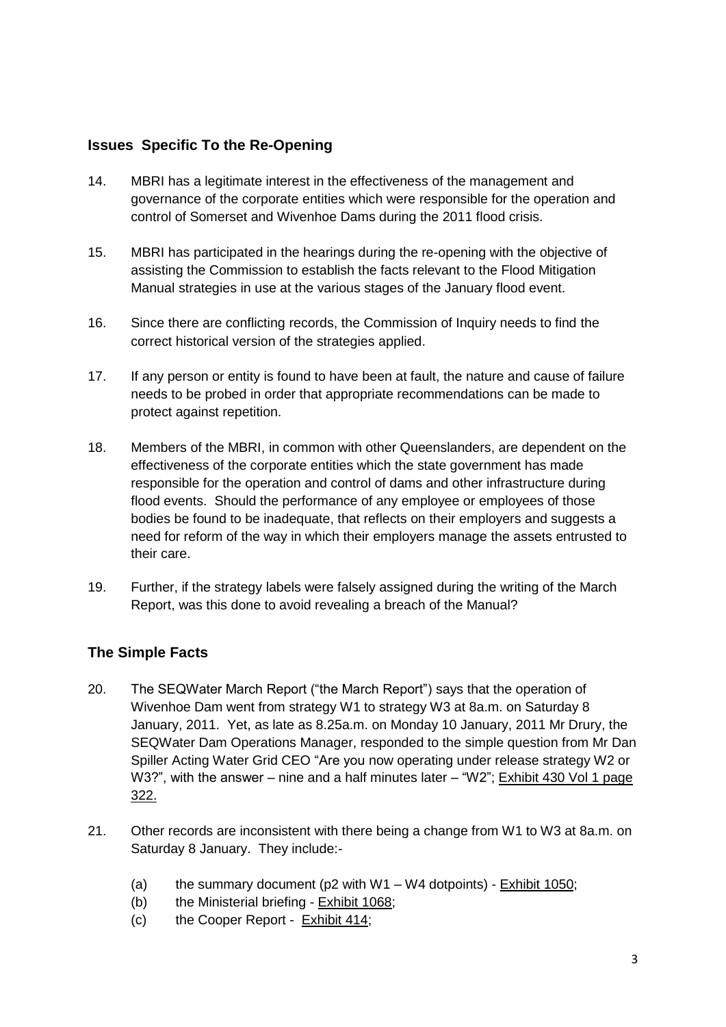## **Issues Specific To the Re-Opening**

- 14. MBRI has a legitimate interest in the effectiveness of the management and governance of the corporate entities which were responsible for the operation and control of Somerset and Wivenhoe Dams during the 2011 flood crisis.
- 15. MBRI has participated in the hearings during the re-opening with the objective of assisting the Commission to establish the facts relevant to the Flood Mitigation Manual strategies in use at the various stages of the January flood event.
- 16. Since there are conflicting records, the Commission of Inquiry needs to find the correct historical version of the strategies applied.
- 17. If any person or entity is found to have been at fault, the nature and cause of failure needs to be probed in order that appropriate recommendations can be made to protect against repetition.
- 18. Members of the MBRI, in common with other Queenslanders, are dependent on the effectiveness of the corporate entities which the state government has made responsible for the operation and control of dams and other infrastructure during flood events. Should the performance of any employee or employees of those bodies be found to be inadequate, that reflects on their employers and suggests a need for reform of the way in which their employers manage the assets entrusted to their care.
- 19. Further, if the strategy labels were falsely assigned during the writing of the March Report, was this done to avoid revealing a breach of the Manual?

## **The Simple Facts**

- 20. The SEQWater March Report ("the March Report") says that the operation of Wivenhoe Dam went from strategy W1 to strategy W3 at 8a.m. on Saturday 8 January, 2011. Yet, as late as 8.25a.m. on Monday 10 January, 2011 Mr Drury, the SEQWater Dam Operations Manager, responded to the simple question from Mr Dan Spiller Acting Water Grid CEO "Are you now operating under release strategy W2 or W3?", with the answer – nine and a half minutes later – "W2"; Exhibit 430 Vol 1 page 322.
- 21. Other records are inconsistent with there being a change from W1 to W3 at 8a.m. on Saturday 8 January. They include:-
	- (a) the summary document ( $p2$  with W1 W4 dotpoints) Exhibit 1050;
	- (b) the Ministerial briefing Exhibit 1068;
	- (c) the Cooper Report Exhibit 414;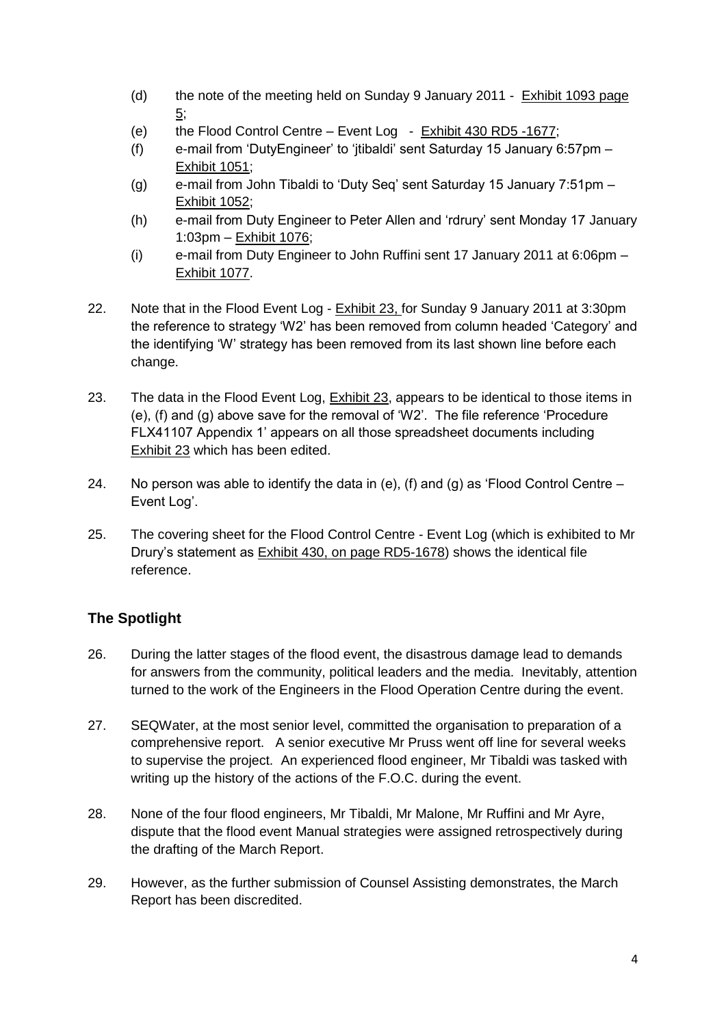- (d) the note of the meeting held on Sunday 9 January 2011  $Exhibit 1093 page$ 5;
- (e) the Flood Control Centre Event Log Exhibit 430 RD5 -1677;
- (f) e-mail from 'DutyEngineer' to 'jtibaldi' sent Saturday 15 January 6:57pm Exhibit 1051;
- (g) e-mail from John Tibaldi to 'Duty Seq' sent Saturday 15 January 7:51pm Exhibit 1052;
- (h) e-mail from Duty Engineer to Peter Allen and 'rdrury' sent Monday 17 January 1:03pm – Exhibit 1076;
- (i) e-mail from Duty Engineer to John Ruffini sent 17 January 2011 at 6:06pm Exhibit 1077.
- 22. Note that in the Flood Event Log Exhibit 23, for Sunday 9 January 2011 at 3:30pm the reference to strategy 'W2' has been removed from column headed 'Category' and the identifying 'W' strategy has been removed from its last shown line before each change.
- 23. The data in the Flood Event Log, **Exhibit 23**, appears to be identical to those items in (e), (f) and (g) above save for the removal of 'W2'. The file reference 'Procedure FLX41107 Appendix 1' appears on all those spreadsheet documents including Exhibit 23 which has been edited.
- 24. No person was able to identify the data in (e), (f) and (g) as 'Flood Control Centre  $-$ Event Log'.
- 25. The covering sheet for the Flood Control Centre Event Log (which is exhibited to Mr Drury's statement as Exhibit 430, on page RD5-1678) shows the identical file reference.

## **The Spotlight**

- 26. During the latter stages of the flood event, the disastrous damage lead to demands for answers from the community, political leaders and the media. Inevitably, attention turned to the work of the Engineers in the Flood Operation Centre during the event.
- 27. SEQWater, at the most senior level, committed the organisation to preparation of a comprehensive report. A senior executive Mr Pruss went off line for several weeks to supervise the project. An experienced flood engineer, Mr Tibaldi was tasked with writing up the history of the actions of the F.O.C. during the event.
- 28. None of the four flood engineers, Mr Tibaldi, Mr Malone, Mr Ruffini and Mr Ayre, dispute that the flood event Manual strategies were assigned retrospectively during the drafting of the March Report.
- 29. However, as the further submission of Counsel Assisting demonstrates, the March Report has been discredited.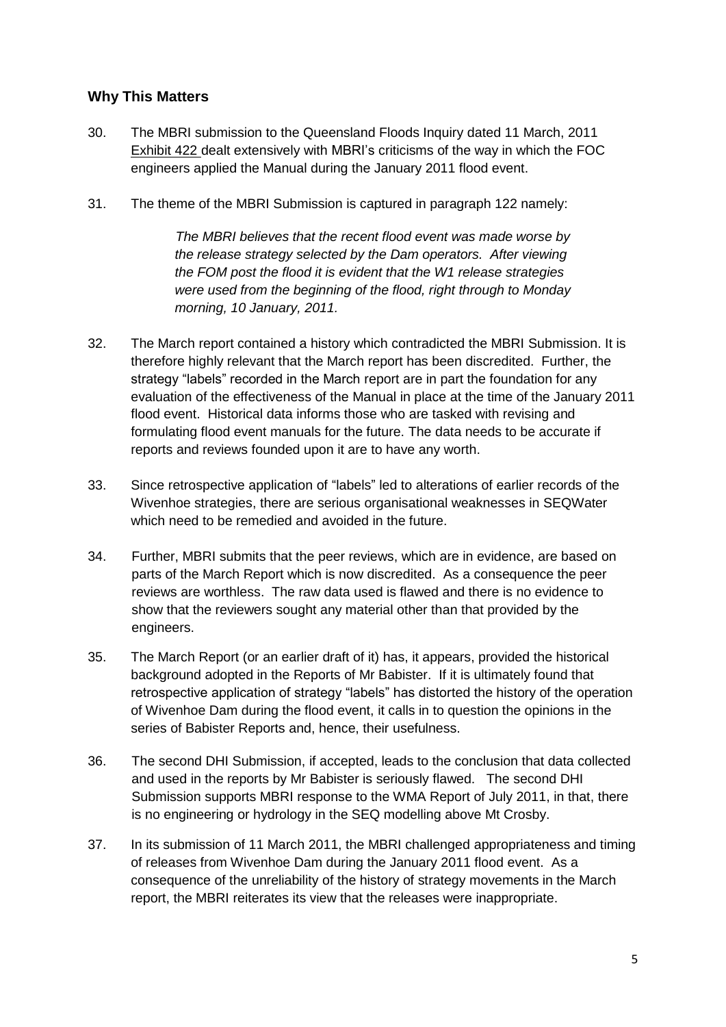## **Why This Matters**

- 30. The MBRI submission to the Queensland Floods Inquiry dated 11 March, 2011 Exhibit 422 dealt extensively with MBRI's criticisms of the way in which the FOC engineers applied the Manual during the January 2011 flood event.
- 31. The theme of the MBRI Submission is captured in paragraph 122 namely:

*The MBRI believes that the recent flood event was made worse by the release strategy selected by the Dam operators. After viewing the FOM post the flood it is evident that the W1 release strategies were used from the beginning of the flood, right through to Monday morning, 10 January, 2011.*

- 32. The March report contained a history which contradicted the MBRI Submission. It is therefore highly relevant that the March report has been discredited. Further, the strategy "labels" recorded in the March report are in part the foundation for any evaluation of the effectiveness of the Manual in place at the time of the January 2011 flood event. Historical data informs those who are tasked with revising and formulating flood event manuals for the future. The data needs to be accurate if reports and reviews founded upon it are to have any worth.
- 33. Since retrospective application of "labels" led to alterations of earlier records of the Wivenhoe strategies, there are serious organisational weaknesses in SEQWater which need to be remedied and avoided in the future.
- 34. Further, MBRI submits that the peer reviews, which are in evidence, are based on parts of the March Report which is now discredited. As a consequence the peer reviews are worthless. The raw data used is flawed and there is no evidence to show that the reviewers sought any material other than that provided by the engineers.
- 35. The March Report (or an earlier draft of it) has, it appears, provided the historical background adopted in the Reports of Mr Babister. If it is ultimately found that retrospective application of strategy "labels" has distorted the history of the operation of Wivenhoe Dam during the flood event, it calls in to question the opinions in the series of Babister Reports and, hence, their usefulness.
- 36. The second DHI Submission, if accepted, leads to the conclusion that data collected and used in the reports by Mr Babister is seriously flawed. The second DHI Submission supports MBRI response to the WMA Report of July 2011, in that, there is no engineering or hydrology in the SEQ modelling above Mt Crosby.
- 37. In its submission of 11 March 2011, the MBRI challenged appropriateness and timing of releases from Wivenhoe Dam during the January 2011 flood event. As a consequence of the unreliability of the history of strategy movements in the March report, the MBRI reiterates its view that the releases were inappropriate.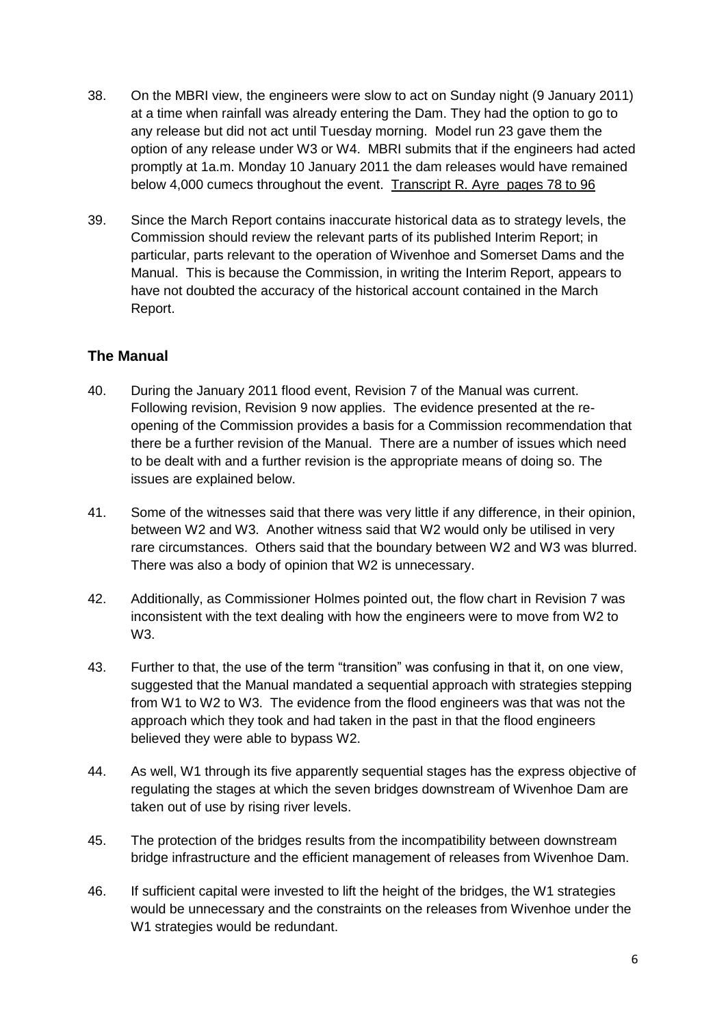- 38. On the MBRI view, the engineers were slow to act on Sunday night (9 January 2011) at a time when rainfall was already entering the Dam. They had the option to go to any release but did not act until Tuesday morning. Model run 23 gave them the option of any release under W3 or W4. MBRI submits that if the engineers had acted promptly at 1a.m. Monday 10 January 2011 the dam releases would have remained below 4,000 cumecs throughout the event. Transcript R. Ayre pages 78 to 96
- 39. Since the March Report contains inaccurate historical data as to strategy levels, the Commission should review the relevant parts of its published Interim Report; in particular, parts relevant to the operation of Wivenhoe and Somerset Dams and the Manual. This is because the Commission, in writing the Interim Report, appears to have not doubted the accuracy of the historical account contained in the March Report.

## **The Manual**

- 40. During the January 2011 flood event, Revision 7 of the Manual was current. Following revision, Revision 9 now applies. The evidence presented at the reopening of the Commission provides a basis for a Commission recommendation that there be a further revision of the Manual. There are a number of issues which need to be dealt with and a further revision is the appropriate means of doing so. The issues are explained below.
- 41. Some of the witnesses said that there was very little if any difference, in their opinion, between W2 and W3. Another witness said that W2 would only be utilised in very rare circumstances. Others said that the boundary between W2 and W3 was blurred. There was also a body of opinion that W2 is unnecessary.
- 42. Additionally, as Commissioner Holmes pointed out, the flow chart in Revision 7 was inconsistent with the text dealing with how the engineers were to move from W2 to W3.
- 43. Further to that, the use of the term "transition" was confusing in that it, on one view, suggested that the Manual mandated a sequential approach with strategies stepping from W1 to W2 to W3. The evidence from the flood engineers was that was not the approach which they took and had taken in the past in that the flood engineers believed they were able to bypass W2.
- 44. As well, W1 through its five apparently sequential stages has the express objective of regulating the stages at which the seven bridges downstream of Wivenhoe Dam are taken out of use by rising river levels.
- 45. The protection of the bridges results from the incompatibility between downstream bridge infrastructure and the efficient management of releases from Wivenhoe Dam.
- 46. If sufficient capital were invested to lift the height of the bridges, the W1 strategies would be unnecessary and the constraints on the releases from Wivenhoe under the W1 strategies would be redundant.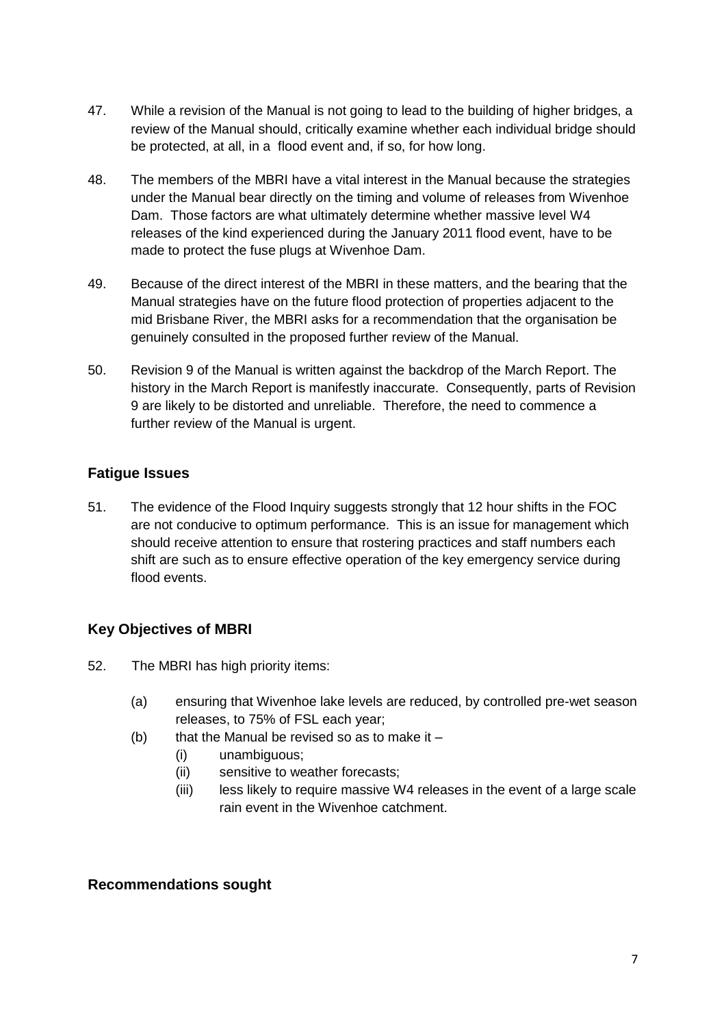- 47. While a revision of the Manual is not going to lead to the building of higher bridges, a review of the Manual should, critically examine whether each individual bridge should be protected, at all, in a flood event and, if so, for how long.
- 48. The members of the MBRI have a vital interest in the Manual because the strategies under the Manual bear directly on the timing and volume of releases from Wivenhoe Dam. Those factors are what ultimately determine whether massive level W4 releases of the kind experienced during the January 2011 flood event, have to be made to protect the fuse plugs at Wivenhoe Dam.
- 49. Because of the direct interest of the MBRI in these matters, and the bearing that the Manual strategies have on the future flood protection of properties adjacent to the mid Brisbane River, the MBRI asks for a recommendation that the organisation be genuinely consulted in the proposed further review of the Manual.
- 50. Revision 9 of the Manual is written against the backdrop of the March Report. The history in the March Report is manifestly inaccurate. Consequently, parts of Revision 9 are likely to be distorted and unreliable. Therefore, the need to commence a further review of the Manual is urgent.

## **Fatigue Issues**

51. The evidence of the Flood Inquiry suggests strongly that 12 hour shifts in the FOC are not conducive to optimum performance. This is an issue for management which should receive attention to ensure that rostering practices and staff numbers each shift are such as to ensure effective operation of the key emergency service during flood events.

## **Key Objectives of MBRI**

- 52. The MBRI has high priority items:
	- (a) ensuring that Wivenhoe lake levels are reduced, by controlled pre-wet season releases, to 75% of FSL each year;
	- (b) that the Manual be revised so as to make it  $-$ 
		- (i) unambiguous;
		- (ii) sensitive to weather forecasts;
		- (iii) less likely to require massive W4 releases in the event of a large scale rain event in the Wivenhoe catchment.

#### **Recommendations sought**